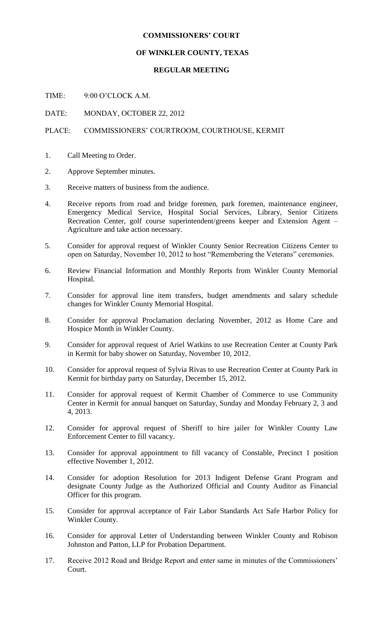#### **COMMISSIONERS' COURT**

### **OF WINKLER COUNTY, TEXAS**

## **REGULAR MEETING**

TIME: 9:00 O'CLOCK A.M.

DATE: MONDAY, OCTOBER 22, 2012

## PLACE: COMMISSIONERS' COURTROOM, COURTHOUSE, KERMIT

- 1. Call Meeting to Order.
- 2. Approve September minutes.
- 3. Receive matters of business from the audience.
- 4. Receive reports from road and bridge foremen, park foremen, maintenance engineer, Emergency Medical Service, Hospital Social Services, Library, Senior Citizens Recreation Center, golf course superintendent/greens keeper and Extension Agent – Agriculture and take action necessary.
- 5. Consider for approval request of Winkler County Senior Recreation Citizens Center to open on Saturday, November 10, 2012 to host "Remembering the Veterans" ceremonies.
- 6. Review Financial Information and Monthly Reports from Winkler County Memorial Hospital.
- 7. Consider for approval line item transfers, budget amendments and salary schedule changes for Winkler County Memorial Hospital.
- 8. Consider for approval Proclamation declaring November, 2012 as Home Care and Hospice Month in Winkler County.
- 9. Consider for approval request of Ariel Watkins to use Recreation Center at County Park in Kermit for baby shower on Saturday, November 10, 2012.
- 10. Consider for approval request of Sylvia Rivas to use Recreation Center at County Park in Kermit for birthday party on Saturday, December 15, 2012.
- 11. Consider for approval request of Kermit Chamber of Commerce to use Community Center in Kermit for annual banquet on Saturday, Sunday and Monday February 2, 3 and 4, 2013.
- 12. Consider for approval request of Sheriff to hire jailer for Winkler County Law Enforcement Center to fill vacancy.
- 13. Consider for approval appointment to fill vacancy of Constable, Precinct 1 position effective November 1, 2012.
- 14. Consider for adoption Resolution for 2013 Indigent Defense Grant Program and designate County Judge as the Authorized Official and County Auditor as Financial Officer for this program.
- 15. Consider for approval acceptance of Fair Labor Standards Act Safe Harbor Policy for Winkler County.
- 16. Consider for approval Letter of Understanding between Winkler County and Robison Johnston and Patton, LLP for Probation Department.
- 17. Receive 2012 Road and Bridge Report and enter same in minutes of the Commissioners' Court.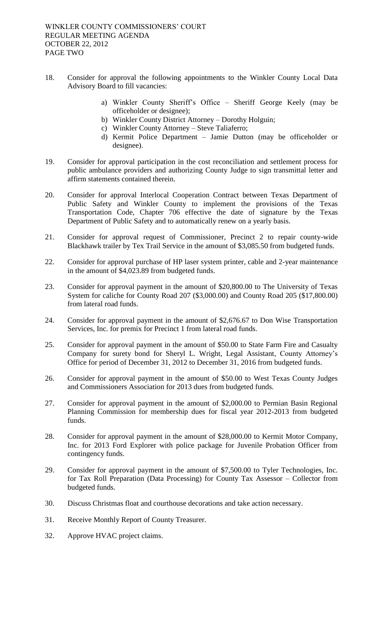- 18. Consider for approval the following appointments to the Winkler County Local Data Advisory Board to fill vacancies:
	- a) Winkler County Sheriff's Office Sheriff George Keely (may be officeholder or designee);
	- b) Winkler County District Attorney Dorothy Holguin;
	- c) Winkler County Attorney Steve Taliaferro;
	- d) Kermit Police Department Jamie Dutton (may be officeholder or designee).
- 19. Consider for approval participation in the cost reconciliation and settlement process for public ambulance providers and authorizing County Judge to sign transmittal letter and affirm statements contained therein.
- 20. Consider for approval Interlocal Cooperation Contract between Texas Department of Public Safety and Winkler County to implement the provisions of the Texas Transportation Code, Chapter 706 effective the date of signature by the Texas Department of Public Safety and to automatically renew on a yearly basis.
- 21. Consider for approval request of Commissioner, Precinct 2 to repair county-wide Blackhawk trailer by Tex Trail Service in the amount of \$3,085.50 from budgeted funds.
- 22. Consider for approval purchase of HP laser system printer, cable and 2-year maintenance in the amount of \$4,023.89 from budgeted funds.
- 23. Consider for approval payment in the amount of \$20,800.00 to The University of Texas System for caliche for County Road 207 (\$3,000.00) and County Road 205 (\$17,800.00) from lateral road funds.
- 24. Consider for approval payment in the amount of \$2,676.67 to Don Wise Transportation Services, Inc. for premix for Precinct 1 from lateral road funds.
- 25. Consider for approval payment in the amount of \$50.00 to State Farm Fire and Casualty Company for surety bond for Sheryl L. Wright, Legal Assistant, County Attorney's Office for period of December 31, 2012 to December 31, 2016 from budgeted funds.
- 26. Consider for approval payment in the amount of \$50.00 to West Texas County Judges and Commissioners Association for 2013 dues from budgeted funds.
- 27. Consider for approval payment in the amount of \$2,000.00 to Permian Basin Regional Planning Commission for membership dues for fiscal year 2012-2013 from budgeted funds.
- 28. Consider for approval payment in the amount of \$28,000.00 to Kermit Motor Company, Inc. for 2013 Ford Explorer with police package for Juvenile Probation Officer from contingency funds.
- 29. Consider for approval payment in the amount of \$7,500.00 to Tyler Technologies, Inc. for Tax Roll Preparation (Data Processing) for County Tax Assessor – Collector from budgeted funds.
- 30. Discuss Christmas float and courthouse decorations and take action necessary.
- 31. Receive Monthly Report of County Treasurer.
- 32. Approve HVAC project claims.